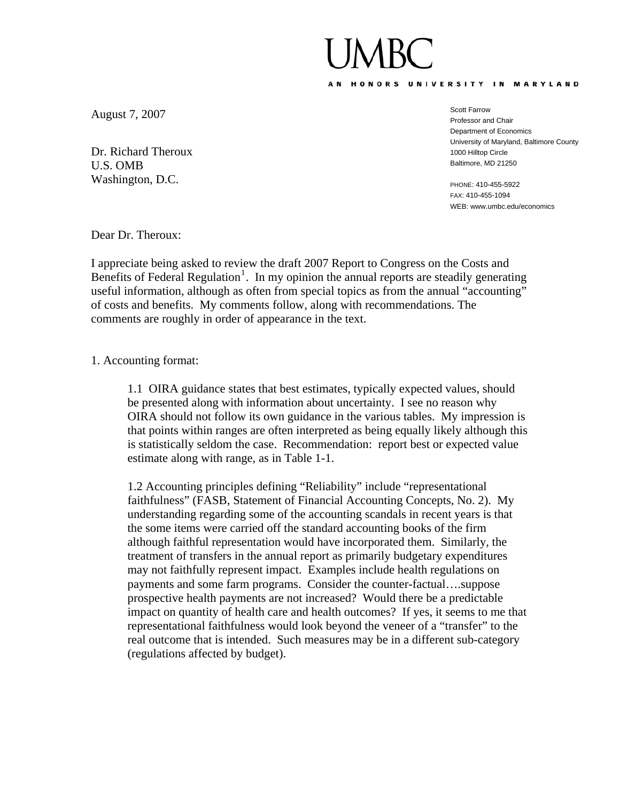## AN HONORS UNIVERSITY IN MARYLAND

August 7, 2007

Dr. Richard Theroux U.S. OMB Washington, D.C.

Scott Farrow Professor and Chair Department of Economics University of Maryland, Baltimore County 1000 Hilltop Circle Baltimore, MD 21250

PHONE: 410-455-5922 FAX: 410-455-1094 WEB: www.umbc.edu/economics

Dear Dr. Theroux:

I appreciate being asked to review the draft 2007 Report to Congress on the Costs and Benefits of Federal Regulation<sup>[1](#page-2-0)</sup>. In my opinion the annual reports are steadily generating useful information, although as often from special topics as from the annual "accounting" of costs and benefits. My comments follow, along with recommendations. The comments are roughly in order of appearance in the text.

1. Accounting format:

1.1 OIRA guidance states that best estimates, typically expected values, should be presented along with information about uncertainty. I see no reason why OIRA should not follow its own guidance in the various tables. My impression is that points within ranges are often interpreted as being equally likely although this is statistically seldom the case. Recommendation: report best or expected value estimate along with range, as in Table 1-1.

1.2 Accounting principles defining "Reliability" include "representational faithfulness" (FASB, Statement of Financial Accounting Concepts, No. 2). My understanding regarding some of the accounting scandals in recent years is that the some items were carried off the standard accounting books of the firm although faithful representation would have incorporated them. Similarly, the treatment of transfers in the annual report as primarily budgetary expenditures may not faithfully represent impact. Examples include health regulations on payments and some farm programs. Consider the counter-factual….suppose prospective health payments are not increased? Would there be a predictable impact on quantity of health care and health outcomes? If yes, it seems to me that representational faithfulness would look beyond the veneer of a "transfer" to the real outcome that is intended. Such measures may be in a different sub-category (regulations affected by budget).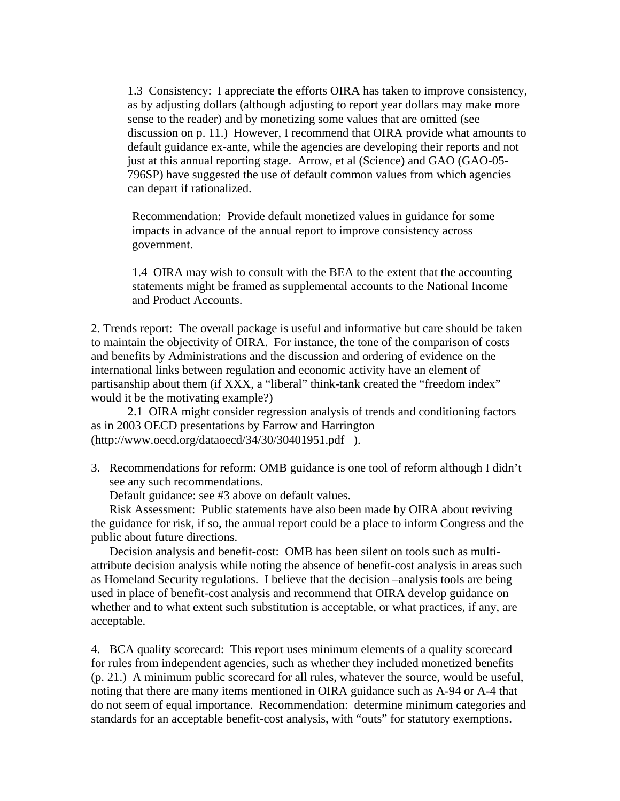1.3 Consistency: I appreciate the efforts OIRA has taken to improve consistency, as by adjusting dollars (although adjusting to report year dollars may make more sense to the reader) and by monetizing some values that are omitted (see discussion on p. 11.) However, I recommend that OIRA provide what amounts to default guidance ex-ante, while the agencies are developing their reports and not just at this annual reporting stage. Arrow, et al (Science) and GAO (GAO-05- 796SP) have suggested the use of default common values from which agencies can depart if rationalized.

Recommendation: Provide default monetized values in guidance for some impacts in advance of the annual report to improve consistency across government.

1.4 OIRA may wish to consult with the BEA to the extent that the accounting statements might be framed as supplemental accounts to the National Income and Product Accounts.

2. Trends report: The overall package is useful and informative but care should be taken to maintain the objectivity of OIRA. For instance, the tone of the comparison of costs and benefits by Administrations and the discussion and ordering of evidence on the international links between regulation and economic activity have an element of partisanship about them (if XXX, a "liberal" think-tank created the "freedom index" would it be the motivating example?)

 2.1 OIRA might consider regression analysis of trends and conditioning factors as in 2003 OECD presentations by Farrow and Harrington (http://www.oecd.org/dataoecd/34/30/30401951.pdf ).

3. Recommendations for reform: OMB guidance is one tool of reform although I didn't see any such recommendations.

Default guidance: see #3 above on default values.

Risk Assessment: Public statements have also been made by OIRA about reviving the guidance for risk, if so, the annual report could be a place to inform Congress and the public about future directions.

Decision analysis and benefit-cost: OMB has been silent on tools such as multiattribute decision analysis while noting the absence of benefit-cost analysis in areas such as Homeland Security regulations. I believe that the decision –analysis tools are being used in place of benefit-cost analysis and recommend that OIRA develop guidance on whether and to what extent such substitution is acceptable, or what practices, if any, are acceptable.

4. BCA quality scorecard: This report uses minimum elements of a quality scorecard for rules from independent agencies, such as whether they included monetized benefits (p. 21.) A minimum public scorecard for all rules, whatever the source, would be useful, noting that there are many items mentioned in OIRA guidance such as A-94 or A-4 that do not seem of equal importance. Recommendation: determine minimum categories and standards for an acceptable benefit-cost analysis, with "outs" for statutory exemptions.